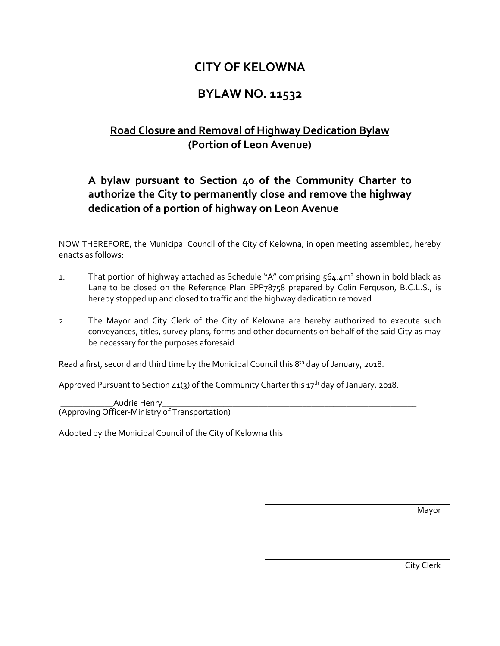## **CITY OF KELOWNA**

## **BYLAW NO. 11532**

## **Road Closure and Removal of Highway Dedication Bylaw (Portion of Leon Avenue)**

## **A bylaw pursuant to Section 40 of the Community Charter to authorize the City to permanently close and remove the highway dedication of a portion of highway on Leon Avenue**

NOW THEREFORE, the Municipal Council of the City of Kelowna, in open meeting assembled, hereby enacts as follows:

- 1. That portion of highway attached as Schedule "A" comprising 564.4m<sup>2</sup> shown in bold black as Lane to be closed on the Reference Plan EPP78758 prepared by Colin Ferguson, B.C.L.S., is hereby stopped up and closed to traffic and the highway dedication removed.
- 2. The Mayor and City Clerk of the City of Kelowna are hereby authorized to execute such conveyances, titles, survey plans, forms and other documents on behalf of the said City as may be necessary for the purposes aforesaid.

Read a first, second and third time by the Municipal Council this 8<sup>th</sup> day of January, 2018.

Approved Pursuant to Section  $41(3)$  of the Community Charter this  $17<sup>th</sup>$  day of January, 2018.

\_\_\_\_\_\_\_\_\_\_\_\_Audrie Henry\_\_\_\_\_\_\_\_\_\_\_\_\_\_\_\_\_\_\_\_\_\_\_\_\_\_\_\_\_\_\_\_\_\_\_\_\_\_\_\_\_\_\_\_\_\_\_\_\_\_\_\_\_\_\_\_\_\_ (Approving Officer-Ministry of Transportation)

Adopted by the Municipal Council of the City of Kelowna this

Mayor

City Clerk